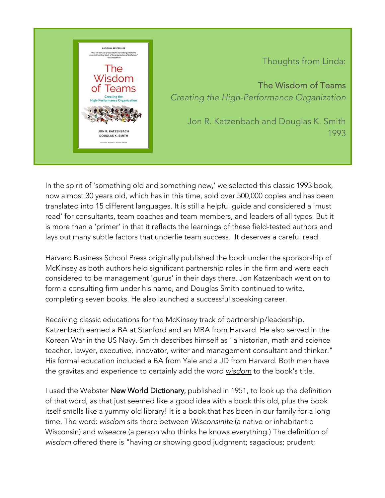

Thoughts from Linda:

The Wisdom of Teams *Creating the High-Performance Organization*

Jon R. Katzenbach and Douglas K. Smith 1993

In the spirit of 'something old and something new,' we selected this classic 1993 book, now almost 30 years old, which has in this time, sold over 500,000 copies and has been translated into 15 different languages. It is still a helpful guide and considered a 'must read' for consultants, team coaches and team members, and leaders of all types. But it is more than a 'primer' in that it reflects the learnings of these field-tested authors and lays out many subtle factors that underlie team success. It deserves a careful read.

Harvard Business School Press originally published the book under the sponsorship of McKinsey as both authors held significant partnership roles in the firm and were each considered to be management 'gurus' in their days there. Jon Katzenbach went on to form a consulting firm under his name, and Douglas Smith continued to write, completing seven books. He also launched a successful speaking career.

Receiving classic educations for the McKinsey track of partnership/leadership, Katzenbach earned a BA at Stanford and an MBA from Harvard. He also served in the Korean War in the US Navy. Smith describes himself as "a historian, math and science teacher, lawyer, executive, innovator, writer and management consultant and thinker." His formal education included a BA from Yale and a JD from Harvard. Both men have the gravitas and experience to certainly add the word *wisdom* to the book's title.

I used the Webster New World Dictionary, published in 1951, to look up the definition of that word, as that just seemed like a good idea with a book this old, plus the book itself smells like a yummy old library! It is a book that has been in our family for a long time. The word: *wisdom* sits there between *Wisconsinite* (a native or inhabitant o Wisconsin) and *wiseacre* (a person who thinks he knows everything.) The definition of *wisdom* offered there is "having or showing good judgment; sagacious; prudent;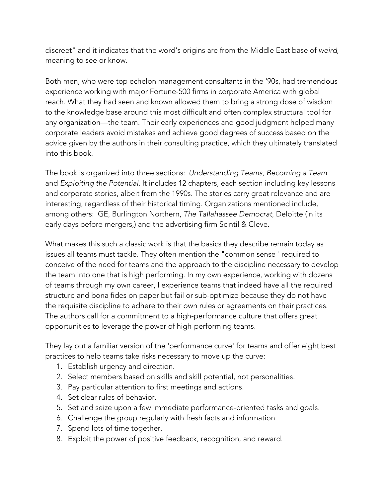discreet" and it indicates that the word's origins are from the Middle East base of *weird*, meaning to see or know.

Both men, who were top echelon management consultants in the '90s, had tremendous experience working with major Fortune-500 firms in corporate America with global reach. What they had seen and known allowed them to bring a strong dose of wisdom to the knowledge base around this most difficult and often complex structural tool for any organization—the team. Their early experiences and good judgment helped many corporate leaders avoid mistakes and achieve good degrees of success based on the advice given by the authors in their consulting practice, which they ultimately translated into this book.

The book is organized into three sections: *Understanding Teams, Becoming a Team*  and *Exploiting the Potential*. It includes 12 chapters, each section including key lessons and corporate stories, albeit from the 1990s. The stories carry great relevance and are interesting, regardless of their historical timing. Organizations mentioned include, among others: GE, Burlington Northern, *The Tallahassee Democrat*, Deloitte (in its early days before mergers,) and the advertising firm Scintil & Cleve.

What makes this such a classic work is that the basics they describe remain today as issues all teams must tackle. They often mention the "common sense" required to conceive of the need for teams and the approach to the discipline necessary to develop the team into one that is high performing. In my own experience, working with dozens of teams through my own career, I experience teams that indeed have all the required structure and bona fides on paper but fail or sub-optimize because they do not have the requisite discipline to adhere to their own rules or agreements on their practices. The authors call for a commitment to a high-performance culture that offers great opportunities to leverage the power of high-performing teams.

They lay out a familiar version of the 'performance curve' for teams and offer eight best practices to help teams take risks necessary to move up the curve:

- 1. Establish urgency and direction.
- 2. Select members based on skills and skill potential, not personalities.
- 3. Pay particular attention to first meetings and actions.
- 4. Set clear rules of behavior.
- 5. Set and seize upon a few immediate performance-oriented tasks and goals.
- 6. Challenge the group regularly with fresh facts and information.
- 7. Spend lots of time together.
- 8. Exploit the power of positive feedback, recognition, and reward.